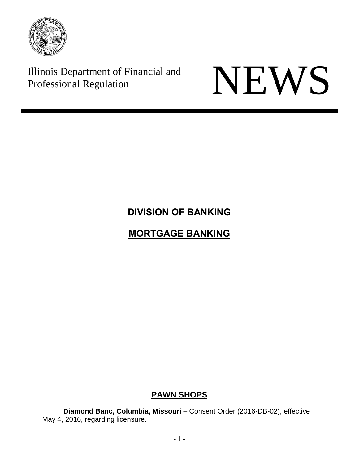

Illinois Department of Financial and



# **DIVISION OF BANKING**

# **MORTGAGE BANKING**

## **PAWN SHOPS**

**Diamond Banc, Columbia, Missouri** – Consent Order (2016-DB-02), effective May 4, 2016, regarding licensure.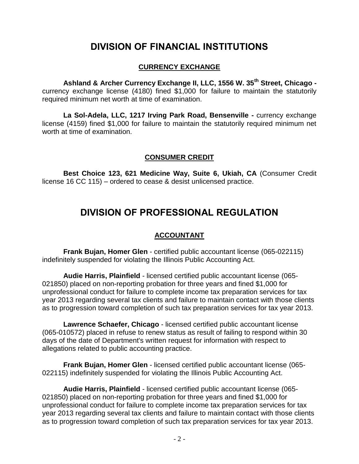# **DIVISION OF FINANCIAL INSTITUTIONS**

#### **CURRENCY EXCHANGE**

**Ashland & Archer Currency Exchange II, LLC, 1556 W. 35th Street, Chicago**  currency exchange license (4180) fined \$1,000 for failure to maintain the statutorily required minimum net worth at time of examination.

**La Sol-Adela, LLC, 1217 Irving Park Road, Bensenville -** currency exchange license (4159) fined \$1,000 for failure to maintain the statutorily required minimum net worth at time of examination.

#### **CONSUMER CREDIT**

**Best Choice 123, 621 Medicine Way, Suite 6, Ukiah, CA** (Consumer Credit license 16 CC 115) – ordered to cease & desist unlicensed practice.

## **DIVISION OF PROFESSIONAL REGULATION**

### **ACCOUNTANT**

**Frank Bujan, Homer Glen** - certified public accountant license (065-022115) indefinitely suspended for violating the Illinois Public Accounting Act.

**Audie Harris, Plainfield** - licensed certified public accountant license (065- 021850) placed on non-reporting probation for three years and fined \$1,000 for unprofessional conduct for failure to complete income tax preparation services for tax year 2013 regarding several tax clients and failure to maintain contact with those clients as to progression toward completion of such tax preparation services for tax year 2013.

**Lawrence Schaefer, Chicago** - licensed certified public accountant license (065-010572) placed in refuse to renew status as result of failing to respond within 30 days of the date of Department's written request for information with respect to allegations related to public accounting practice.

**Frank Bujan, Homer Glen** - licensed certified public accountant license (065- 022115) indefinitely suspended for violating the Illinois Public Accounting Act.

**Audie Harris, Plainfield** - licensed certified public accountant license (065- 021850) placed on non-reporting probation for three years and fined \$1,000 for unprofessional conduct for failure to complete income tax preparation services for tax year 2013 regarding several tax clients and failure to maintain contact with those clients as to progression toward completion of such tax preparation services for tax year 2013.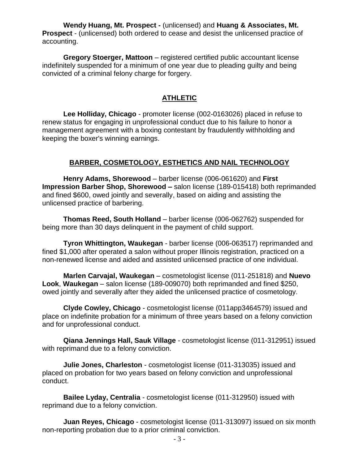**Wendy Huang, Mt. Prospect -** (unlicensed) and **Huang & Associates, Mt. Prospect** - (unlicensed) both ordered to cease and desist the unlicensed practice of accounting.

**Gregory Stoerger, Mattoon** – registered certified public accountant license indefinitely suspended for a minimum of one year due to pleading guilty and being convicted of a criminal felony charge for forgery.

#### **ATHLETIC**

**Lee Holliday, Chicago** - promoter license (002-0163026) placed in refuse to renew status for engaging in unprofessional conduct due to his failure to honor a management agreement with a boxing contestant by fraudulently withholding and keeping the boxer's winning earnings.

#### **BARBER, COSMETOLOGY, ESTHETICS AND NAIL TECHNOLOGY**

**Henry Adams, Shorewood** – barber license (006-061620) and **First Impression Barber Shop, Shorewood –** salon license (189-015418) both reprimanded and fined \$600, owed jointly and severally, based on aiding and assisting the unlicensed practice of barbering.

**Thomas Reed, South Holland** – barber license (006-062762) suspended for being more than 30 days delinquent in the payment of child support.

**Tyron Whittington, Waukegan** - barber license (006-063517) reprimanded and fined \$1,000 after operated a salon without proper Illinois registration, practiced on a non-renewed license and aided and assisted unlicensed practice of one individual.

**Marlen Carvajal, Waukegan** – cosmetologist license (011-251818) and **Nuevo Look**, **Waukegan** – salon license (189-009070) both reprimanded and fined \$250, owed jointly and severally after they aided the unlicensed practice of cosmetology.

**Clyde Cowley, Chicago** - cosmetologist license (011app3464579) issued and place on indefinite probation for a minimum of three years based on a felony conviction and for unprofessional conduct.

**Qiana Jennings Hall, Sauk Village** - cosmetologist license (011-312951) issued with reprimand due to a felony conviction.

**Julie Jones, Charleston** - cosmetologist license (011-313035) issued and placed on probation for two years based on felony conviction and unprofessional conduct.

**Bailee Lyday, Centralia** - cosmetologist license (011-312950) issued with reprimand due to a felony conviction.

**Juan Reyes, Chicago** - cosmetologist license (011-313097) issued on six month non-reporting probation due to a prior criminal conviction.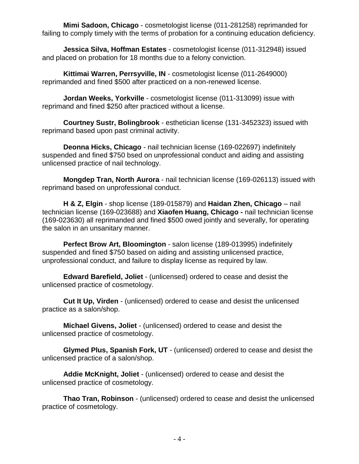**Mimi Sadoon, Chicago** - cosmetologist license (011-281258) reprimanded for failing to comply timely with the terms of probation for a continuing education deficiency.

**Jessica Silva, Hoffman Estates** - cosmetologist license (011-312948) issued and placed on probation for 18 months due to a felony conviction.

**Kittimai Warren, Perrsyville, IN** - cosmetologist license (011-2649000) reprimanded and fined \$500 after practiced on a non-renewed license.

**Jordan Weeks, Yorkville** - cosmetologist license (011-313099) issue with reprimand and fined \$250 after practiced without a license.

**Courtney Sustr, Bolingbrook** - esthetician license (131-3452323) issued with reprimand based upon past criminal activity.

**Deonna Hicks, Chicago** - nail technician license (169-022697) indefinitely suspended and fined \$750 bsed on unprofessional conduct and aiding and assisting unlicensed practice of nail technology.

**Mongdep Tran, North Aurora** - nail technician license (169-026113) issued with reprimand based on unprofessional conduct.

**H & Z, Elgin** - shop license (189-015879) and **Haidan Zhen, Chicago** – nail technician license (169-023688) and **Xiaofen Huang, Chicago -** nail technician license (169-023630) all reprimanded and fined \$500 owed jointly and severally, for operating the salon in an unsanitary manner.

**Perfect Brow Art, Bloomington** - salon license (189-013995) indefinitely suspended and fined \$750 based on aiding and assisting unlicensed practice, unprofessional conduct, and failure to display license as required by law.

**Edward Barefield, Joliet** - (unlicensed) ordered to cease and desist the unlicensed practice of cosmetology.

**Cut It Up, Virden** - (unlicensed) ordered to cease and desist the unlicensed practice as a salon/shop.

**Michael Givens, Joliet** - (unlicensed) ordered to cease and desist the unlicensed practice of cosmetology.

**Glymed Plus, Spanish Fork, UT** - (unlicensed) ordered to cease and desist the unlicensed practice of a salon/shop.

**Addie McKnight, Joliet** - (unlicensed) ordered to cease and desist the unlicensed practice of cosmetology.

**Thao Tran, Robinson** - (unlicensed) ordered to cease and desist the unlicensed practice of cosmetology.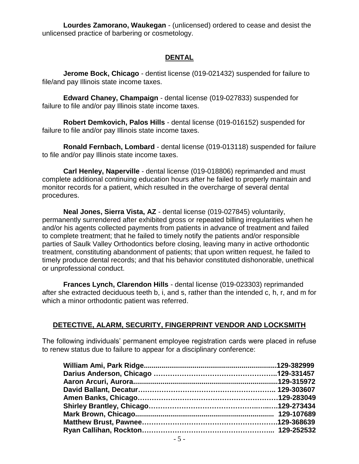**Lourdes Zamorano, Waukegan** - (unlicensed) ordered to cease and desist the unlicensed practice of barbering or cosmetology.

### **DENTAL**

**Jerome Bock, Chicago** - dentist license (019-021432) suspended for failure to file/and pay Illinois state income taxes.

**Edward Chaney, Champaign** - dental license (019-027833) suspended for failure to file and/or pay Illinois state income taxes.

**Robert Demkovich, Palos Hills** - dental license (019-016152) suspended for failure to file and/or pay Illinois state income taxes.

**Ronald Fernbach, Lombard** - dental license (019-013118) suspended for failure to file and/or pay Illinois state income taxes.

**Carl Henley, Naperville** - dental license (019-018806) reprimanded and must complete additional continuing education hours after he failed to properly maintain and monitor records for a patient, which resulted in the overcharge of several dental procedures.

**Neal Jones, Sierra Vista, AZ** - dental license (019-027845) voluntarily, permanently surrendered after exhibited gross or repeated billing irregularities when he and/or his agents collected payments from patients in advance of treatment and failed to complete treatment; that he failed to timely notify the patients and/or responsible parties of Saulk Valley Orthodontics before closing, leaving many in active orthodontic treatment, constituting abandonment of patients; that upon written request, he failed to timely produce dental records; and that his behavior constituted dishonorable, unethical or unprofessional conduct.

**Frances Lynch, Clarendon Hills** - dental license (019-023303) reprimanded after she extracted deciduous teeth b, i, and s, rather than the intended c, h, r, and m for which a minor orthodontic patient was referred.

### **DETECTIVE, ALARM, SECURITY, FINGERPRINT VENDOR AND LOCKSMITH**

The following individuals' permanent employee registration cards were placed in refuse to renew status due to failure to appear for a disciplinary conference: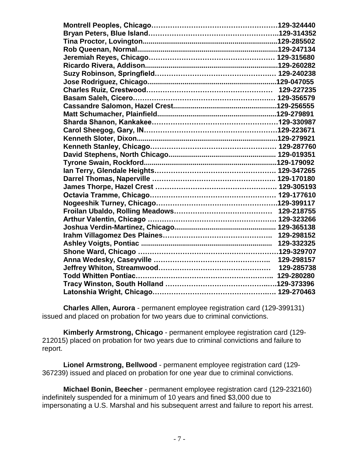**Charles Allen, Aurora** - permanent employee registration card (129-399131) issued and placed on probation for two years due to criminal convictions.

**Kimberly Armstrong, Chicago** - permanent employee registration card (129- 212015) placed on probation for two years due to criminal convictions and failure to report.

**Lionel Armstrong, Bellwood** - permanent employee registration card (129- 367239) issued and placed on probation for one year due to criminal convictions.

**Michael Bonin, Beecher** - permanent employee registration card (129-232160) indefinitely suspended for a minimum of 10 years and fined \$3,000 due to impersonating a U.S. Marshal and his subsequent arrest and failure to report his arrest.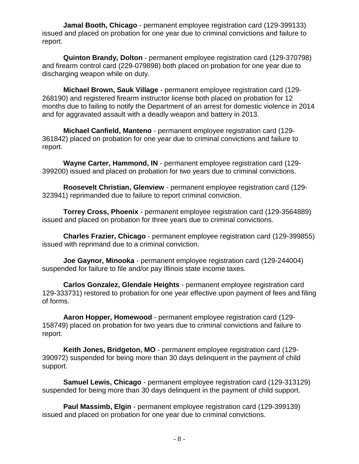**Jamal Booth, Chicago** - permanent employee registration card (129-399133) issued and placed on probation for one year due to criminal convictions and failure to report.

**Quinton Brandy, Dolton** - permanent employee registration card (129-370798) and firearm control card (229-079898) both placed on probation for one year due to discharging weapon while on duty.

**Michael Brown, Sauk Village** - permanent employee registration card (129- 268190) and registered firearm instructor license both placed on probation for 12 months due to failing to notify the Department of an arrest for domestic violence in 2014 and for aggravated assault with a deadly weapon and battery in 2013.

**Michael Canfield, Manteno** - permanent employee registration card (129- 361842) placed on probation for one year due to criminal convictions and failure to report.

**Wayne Carter, Hammond, IN** - permanent employee registration card (129- 399200) issued and placed on probation for two years due to criminal convictions.

**Roosevelt Christian, Glenview** - permanent employee registration card (129- 323941) reprimanded due to failure to report criminal conviction.

**Torrey Cross, Phoenix** - permanent employee registration card (129-3564889) issued and placed on probation for three years due to criminal convictions.

**Charles Frazier, Chicago** - permanent employee registration card (129-399855) issued with reprimand due to a criminal conviction.

**Joe Gaynor, Minooka** - permanent employee registration card (129-244004) suspended for failure to file and/or pay Illinois state income taxes.

**Carlos Gonzalez, Glendale Heights** - permanent employee registration card 129-333731) restored to probation for one year effective upon payment of fees and filing of forms.

**Aaron Hopper, Homewood** - permanent employee registration card (129- 158749) placed on probation for two years due to criminal convictions and failure to report.

**Keith Jones, Bridgeton, MO** - permanent employee registration card (129- 390972) suspended for being more than 30 days delinquent in the payment of child support.

**Samuel Lewis, Chicago** - permanent employee registration card (129-313129) suspended for being more than 30 days delinquent in the payment of child support.

**Paul Massimb, Elgin** - permanent employee registration card (129-399139) issued and placed on probation for one year due to criminal convictions.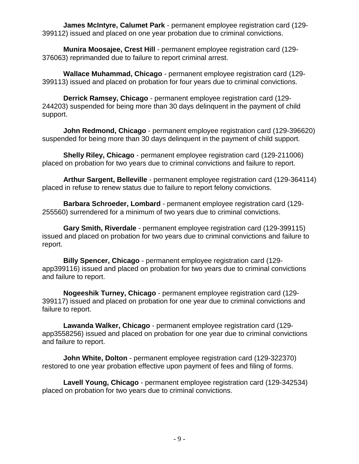**James McIntyre, Calumet Park** - permanent employee registration card (129- 399112) issued and placed on one year probation due to criminal convictions.

**Munira Moosajee, Crest Hill** - permanent employee registration card (129- 376063) reprimanded due to failure to report criminal arrest.

**Wallace Muhammad, Chicago** - permanent employee registration card (129- 399113) issued and placed on probation for four years due to criminal convictions.

**Derrick Ramsey, Chicago** - permanent employee registration card (129- 244203) suspended for being more than 30 days delinquent in the payment of child support.

**John Redmond, Chicago** - permanent employee registration card (129-396620) suspended for being more than 30 days delinquent in the payment of child support.

**Shelly Riley, Chicago** - permanent employee registration card (129-211006) placed on probation for two years due to criminal convictions and failure to report.

**Arthur Sargent, Belleville** - permanent employee registration card (129-364114) placed in refuse to renew status due to failure to report felony convictions.

**Barbara Schroeder, Lombard** - permanent employee registration card (129- 255560) surrendered for a minimum of two years due to criminal convictions.

**Gary Smith, Riverdale** - permanent employee registration card (129-399115) issued and placed on probation for two years due to criminal convictions and failure to report.

**Billy Spencer, Chicago** - permanent employee registration card (129 app399116) issued and placed on probation for two years due to criminal convictions and failure to report.

**Nogeeshik Turney, Chicago** - permanent employee registration card (129- 399117) issued and placed on probation for one year due to criminal convictions and failure to report.

**Lawanda Walker, Chicago** - permanent employee registration card (129 app3558256) issued and placed on probation for one year due to criminal convictions and failure to report.

**John White, Dolton** - permanent employee registration card (129-322370) restored to one year probation effective upon payment of fees and filing of forms.

**Lavell Young, Chicago** - permanent employee registration card (129-342534) placed on probation for two years due to criminal convictions.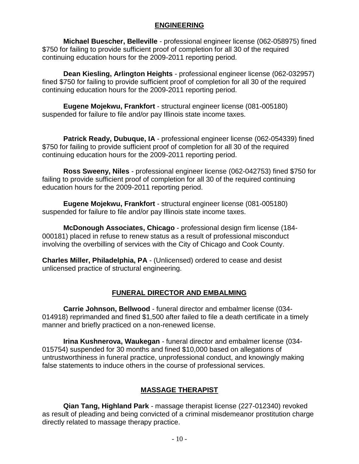#### **ENGINEERING**

**Michael Buescher, Belleville** - professional engineer license (062-058975) fined \$750 for failing to provide sufficient proof of completion for all 30 of the required continuing education hours for the 2009-2011 reporting period.

**Dean Kiesling, Arlington Heights** - professional engineer license (062-032957) fined \$750 for failing to provide sufficient proof of completion for all 30 of the required continuing education hours for the 2009-2011 reporting period.

**Eugene Mojekwu, Frankfort** - structural engineer license (081-005180) suspended for failure to file and/or pay Illinois state income taxes.

**Patrick Ready, Dubuque, IA** - professional engineer license (062-054339) fined \$750 for failing to provide sufficient proof of completion for all 30 of the required continuing education hours for the 2009-2011 reporting period.

**Ross Sweeny, Niles** - professional engineer license (062-042753) fined \$750 for failing to provide sufficient proof of completion for all 30 of the required continuing education hours for the 2009-2011 reporting period.

**Eugene Mojekwu, Frankfort** - structural engineer license (081-005180) suspended for failure to file and/or pay Illinois state income taxes.

**McDonough Associates, Chicago** - professional design firm license (184- 000181) placed in refuse to renew status as a result of professional misconduct involving the overbilling of services with the City of Chicago and Cook County.

**Charles Miller, Philadelphia, PA** - (Unlicensed) ordered to cease and desist unlicensed practice of structural engineering.

#### **FUNERAL DIRECTOR AND EMBALMING**

**Carrie Johnson, Bellwood** - funeral director and embalmer license (034- 014918) reprimanded and fined \$1,500 after failed to file a death certificate in a timely manner and briefly practiced on a non-renewed license.

**Irina Kushnerova, Waukegan** - funeral director and embalmer license (034- 015754) suspended for 30 months and fined \$10,000 based on allegations of untrustworthiness in funeral practice, unprofessional conduct, and knowingly making false statements to induce others in the course of professional services.

#### **MASSAGE THERAPIST**

**Qian Tang, Highland Park** - massage therapist license (227-012340) revoked as result of pleading and being convicted of a criminal misdemeanor prostitution charge directly related to massage therapy practice.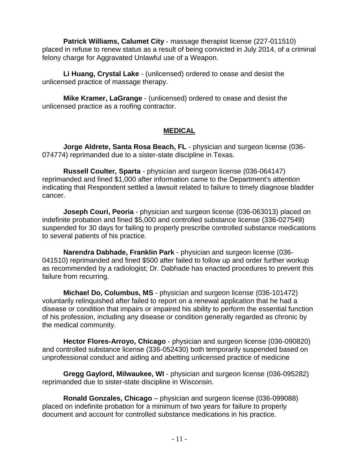**Patrick Williams, Calumet City** - massage therapist license (227-011510) placed in refuse to renew status as a result of being convicted in July 2014, of a criminal felony charge for Aggravated Unlawful use of a Weapon.

**Li Huang, Crystal Lake** - (unlicensed) ordered to cease and desist the unlicensed practice of massage therapy.

**Mike Kramer, LaGrange** - (unlicensed) ordered to cease and desist the unlicensed practice as a roofing contractor.

#### **MEDICAL**

**Jorge Aldrete, Santa Rosa Beach, FL** - physician and surgeon license (036- 074774) reprimanded due to a sister-state discipline in Texas.

**Russell Coulter, Sparta** - physician and surgeon license (036-064147) reprimanded and fined \$1,000 after information came to the Department's attention indicating that Respondent settled a lawsuit related to failure to timely diagnose bladder cancer.

**Joseph Couri, Peoria** - physician and surgeon license (036-063013) placed on indefinite probation and fined \$5,000 and controlled substance license (336-027549) suspended for 30 days for failing to properly prescribe controlled substance medications to several patients of his practice.

**Narendra Dabhade, Franklin Park** - physician and surgeon license (036- 041510) reprimanded and fined \$500 after failed to follow up and order further workup as recommended by a radiologist; Dr. Dabhade has enacted procedures to prevent this failure from recurring.

**Michael Do, Columbus, MS** - physician and surgeon license (036-101472) voluntarily relinquished after failed to report on a renewal application that he had a disease or condition that impairs or impaired his ability to perform the essential function of his profession, including any disease or condition generally regarded as chronic by the medical community.

**Hector Flores-Arroyo, Chicago** - physician and surgeon license (036-090820) and controlled substance license (336-052430) both temporarily suspended based on unprofessional conduct and aiding and abetting unlicensed practice of medicine

**Gregg Gaylord, Milwaukee, WI** - physician and surgeon license (036-095282) reprimanded due to sister-state discipline in Wisconsin.

**Ronald Gonzales, Chicago** – physician and surgeon license (036-099088) placed on indefinite probation for a minimum of two years for failure to properly document and account for controlled substance medications in his practice.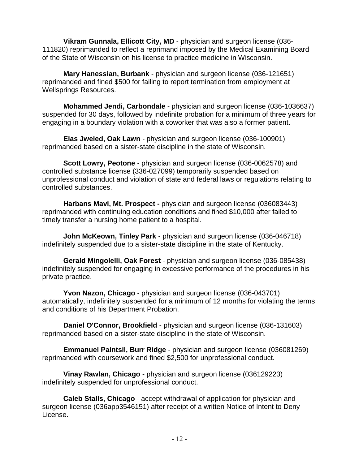**Vikram Gunnala, Ellicott City, MD** - physician and surgeon license (036- 111820) reprimanded to reflect a reprimand imposed by the Medical Examining Board of the State of Wisconsin on his license to practice medicine in Wisconsin.

**Mary Hanessian, Burbank** - physician and surgeon license (036-121651) reprimanded and fined \$500 for failing to report termination from employment at Wellsprings Resources.

**Mohammed Jendi, Carbondale** - physician and surgeon license (036-1036637) suspended for 30 days, followed by indefinite probation for a minimum of three years for engaging in a boundary violation with a coworker that was also a former patient.

**Eias Jweied, Oak Lawn** - physician and surgeon license (036-100901) reprimanded based on a sister-state discipline in the state of Wisconsin.

**Scott Lowry, Peotone** - physician and surgeon license (036-0062578) and controlled substance license (336-027099) temporarily suspended based on unprofessional conduct and violation of state and federal laws or regulations relating to controlled substances.

**Harbans Mavi, Mt. Prospect -** physician and surgeon license (036083443) reprimanded with continuing education conditions and fined \$10,000 after failed to timely transfer a nursing home patient to a hospital.

**John McKeown, Tinley Park** - physician and surgeon license (036-046718) indefinitely suspended due to a sister-state discipline in the state of Kentucky.

**Gerald Mingolelli, Oak Forest** - physician and surgeon license (036-085438) indefinitely suspended for engaging in excessive performance of the procedures in his private practice.

**Yvon Nazon, Chicago** - physician and surgeon license (036-043701) automatically, indefinitely suspended for a minimum of 12 months for violating the terms and conditions of his Department Probation.

**Daniel O'Connor, Brookfield** - physician and surgeon license (036-131603) reprimanded based on a sister-state discipline in the state of Wisconsin.

**Emmanuel Paintsil, Burr Ridge** - physician and surgeon license (036081269) reprimanded with coursework and fined \$2,500 for unprofessional conduct.

**Vinay Rawlan, Chicago** - physician and surgeon license (036129223) indefinitely suspended for unprofessional conduct.

**Caleb Stalls, Chicago** - accept withdrawal of application for physician and surgeon license (036app3546151) after receipt of a written Notice of Intent to Deny License.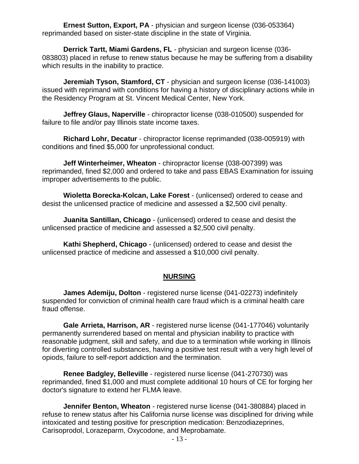**Ernest Sutton, Export, PA** - physician and surgeon license (036-053364) reprimanded based on sister-state discipline in the state of Virginia.

**Derrick Tartt, Miami Gardens, FL** - physician and surgeon license (036- 083803) placed in refuse to renew status because he may be suffering from a disability which results in the inability to practice.

**Jeremiah Tyson, Stamford, CT** - physician and surgeon license (036-141003) issued with reprimand with conditions for having a history of disciplinary actions while in the Residency Program at St. Vincent Medical Center, New York.

**Jeffrey Glaus, Naperville** - chiropractor license (038-010500) suspended for failure to file and/or pay Illinois state income taxes.

**Richard Lohr, Decatur** - chiropractor license reprimanded (038-005919) with conditions and fined \$5,000 for unprofessional conduct.

**Jeff Winterheimer, Wheaton** - chiropractor license (038-007399) was reprimanded, fined \$2,000 and ordered to take and pass EBAS Examination for issuing improper advertisements to the public.

**Wioletta Borecka-Kolcan, Lake Forest** - (unlicensed) ordered to cease and desist the unlicensed practice of medicine and assessed a \$2,500 civil penalty.

**Juanita Santillan, Chicago** - (unlicensed) ordered to cease and desist the unlicensed practice of medicine and assessed a \$2,500 civil penalty.

**Kathi Shepherd, Chicago** - (unlicensed) ordered to cease and desist the unlicensed practice of medicine and assessed a \$10,000 civil penalty.

#### **NURSING**

**James Ademiju, Dolton** - registered nurse license (041-02273) indefinitely suspended for conviction of criminal health care fraud which is a criminal health care fraud offense.

**Gale Arrieta, Harrison, AR** - registered nurse license (041-177046) voluntarily permanently surrendered based on mental and physician inability to practice with reasonable judgment, skill and safety, and due to a termination while working in Illinois for diverting controlled substances, having a positive test result with a very high level of opiods, failure to self-report addiction and the termination.

**Renee Badgley, Belleville** - registered nurse license (041-270730) was reprimanded, fined \$1,000 and must complete additional 10 hours of CE for forging her doctor's signature to extend her FLMA leave.

**Jennifer Benton, Wheaton** - registered nurse license (041-380884) placed in refuse to renew status after his California nurse license was disciplined for driving while intoxicated and testing positive for prescription medication: Benzodiazeprines, Carisoprodol, Lorazeparm, Oxycodone, and Meprobamate.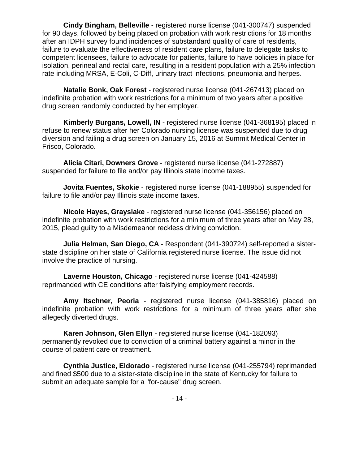**Cindy Bingham, Belleville** - registered nurse license (041-300747) suspended for 90 days, followed by being placed on probation with work restrictions for 18 months after an IDPH survey found incidences of substandard quality of care of residents, failure to evaluate the effectiveness of resident care plans, failure to delegate tasks to competent licensees, failure to advocate for patients, failure to have policies in place for isolation, perineal and rectal care, resulting in a resident population with a 25% infection rate including MRSA, E-Coli, C-Diff, urinary tract infections, pneumonia and herpes.

**Natalie Bonk, Oak Forest** - registered nurse license (041-267413) placed on indefinite probation with work restrictions for a minimum of two years after a positive drug screen randomly conducted by her employer.

**Kimberly Burgans, Lowell, IN** - registered nurse license (041-368195) placed in refuse to renew status after her Colorado nursing license was suspended due to drug diversion and failing a drug screen on January 15, 2016 at Summit Medical Center in Frisco, Colorado.

**Alicia Citari, Downers Grove** - registered nurse license (041-272887) suspended for failure to file and/or pay Illinois state income taxes.

**Jovita Fuentes, Skokie** - registered nurse license (041-188955) suspended for failure to file and/or pay Illinois state income taxes.

**Nicole Hayes, Grayslake** - registered nurse license (041-356156) placed on indefinite probation with work restrictions for a minimum of three years after on May 28, 2015, plead guilty to a Misdemeanor reckless driving conviction.

**Julia Helman, San Diego, CA** - Respondent (041-390724) self-reported a sisterstate discipline on her state of California registered nurse license. The issue did not involve the practice of nursing.

**Laverne Houston, Chicago** - registered nurse license (041-424588) reprimanded with CE conditions after falsifying employment records.

**Amy Itschner, Peoria** - registered nurse license (041-385816) placed on indefinite probation with work restrictions for a minimum of three years after she allegedly diverted drugs.

**Karen Johnson, Glen Ellyn** - registered nurse license (041-182093) permanently revoked due to conviction of a criminal battery against a minor in the course of patient care or treatment.

**Cynthia Justice, Eldorado** - registered nurse license (041-255794) reprimanded and fined \$500 due to a sister-state discipline in the state of Kentucky for failure to submit an adequate sample for a "for-cause" drug screen.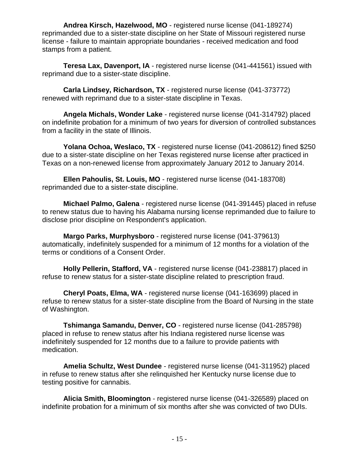**Andrea Kirsch, Hazelwood, MO** - registered nurse license (041-189274) reprimanded due to a sister-state discipline on her State of Missouri registered nurse license - failure to maintain appropriate boundaries - received medication and food stamps from a patient.

**Teresa Lax, Davenport, IA** - registered nurse license (041-441561) issued with reprimand due to a sister-state discipline.

**Carla Lindsey, Richardson, TX** - registered nurse license (041-373772) renewed with reprimand due to a sister-state discipline in Texas.

**Angela Michals, Wonder Lake** - registered nurse license (041-314792) placed on indefinite probation for a minimum of two years for diversion of controlled substances from a facility in the state of Illinois.

**Yolana Ochoa, Weslaco, TX** - registered nurse license (041-208612) fined \$250 due to a sister-state discipline on her Texas registered nurse license after practiced in Texas on a non-renewed license from approximately January 2012 to January 2014.

**Ellen Pahoulis, St. Louis, MO** - registered nurse license (041-183708) reprimanded due to a sister-state discipline.

**Michael Palmo, Galena** - registered nurse license (041-391445) placed in refuse to renew status due to having his Alabama nursing license reprimanded due to failure to disclose prior discipline on Respondent's application.

**Margo Parks, Murphysboro** - registered nurse license (041-379613) automatically, indefinitely suspended for a minimum of 12 months for a violation of the terms or conditions of a Consent Order.

**Holly Pellerin, Stafford, VA** - registered nurse license (041-238817) placed in refuse to renew status for a sister-state discipline related to prescription fraud.

**Cheryl Poats, Elma, WA** - registered nurse license (041-163699) placed in refuse to renew status for a sister-state discipline from the Board of Nursing in the state of Washington.

**Tshimanga Samandu, Denver, CO** - registered nurse license (041-285798) placed in refuse to renew status after his Indiana registered nurse license was indefinitely suspended for 12 months due to a failure to provide patients with medication.

**Amelia Schultz, West Dundee** - registered nurse license (041-311952) placed in refuse to renew status after she relinquished her Kentucky nurse license due to testing positive for cannabis.

**Alicia Smith, Bloomington** - registered nurse license (041-326589) placed on indefinite probation for a minimum of six months after she was convicted of two DUIs.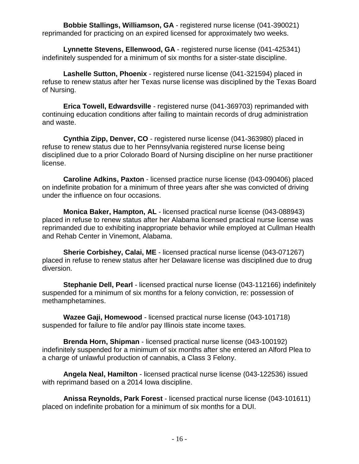**Bobbie Stallings, Williamson, GA** - registered nurse license (041-390021) reprimanded for practicing on an expired licensed for approximately two weeks.

**Lynnette Stevens, Ellenwood, GA** - registered nurse license (041-425341) indefinitely suspended for a minimum of six months for a sister-state discipline.

**Lashelle Sutton, Phoenix** - registered nurse license (041-321594) placed in refuse to renew status after her Texas nurse license was disciplined by the Texas Board of Nursing.

**Erica Towell, Edwardsville** - registered nurse (041-369703) reprimanded with continuing education conditions after failing to maintain records of drug administration and waste.

**Cynthia Zipp, Denver, CO** - registered nurse license (041-363980) placed in refuse to renew status due to her Pennsylvania registered nurse license being disciplined due to a prior Colorado Board of Nursing discipline on her nurse practitioner license.

**Caroline Adkins, Paxton** - licensed practice nurse license (043-090406) placed on indefinite probation for a minimum of three years after she was convicted of driving under the influence on four occasions.

**Monica Baker, Hampton, AL** - licensed practical nurse license (043-088943) placed in refuse to renew status after her Alabama licensed practical nurse license was reprimanded due to exhibiting inappropriate behavior while employed at Cullman Health and Rehab Center in Vinemont, Alabama.

**Sherie Corbishey, Calai, ME** - licensed practical nurse license (043-071267) placed in refuse to renew status after her Delaware license was disciplined due to drug diversion.

**Stephanie Dell, Pearl** - licensed practical nurse license (043-112166) indefinitely suspended for a minimum of six months for a felony conviction, re: possession of methamphetamines.

**Wazee Gaji, Homewood** - licensed practical nurse license (043-101718) suspended for failure to file and/or pay Illinois state income taxes.

**Brenda Horn, Shipman** - licensed practical nurse license (043-100192) indefinitely suspended for a minimum of six months after she entered an Alford Plea to a charge of unlawful production of cannabis, a Class 3 Felony.

**Angela Neal, Hamilton** - licensed practical nurse license (043-122536) issued with reprimand based on a 2014 Iowa discipline.

**Anissa Reynolds, Park Forest** - licensed practical nurse license (043-101611) placed on indefinite probation for a minimum of six months for a DUI.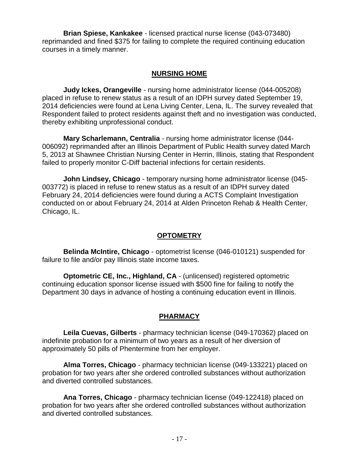**Brian Spiese, Kankakee** - licensed practical nurse license (043-073480) reprimanded and fined \$375 for failing to complete the required continuing education courses in a timely manner.

#### **NURSING HOME**

**Judy Ickes, Orangeville** - nursing home administrator license (044-005208) placed in refuse to renew status as a result of an IDPH survey dated September 19, 2014 deficiencies were found at Lena Living Center, Lena, IL. The survey revealed that Respondent failed to protect residents against theft and no investigation was conducted, thereby exhibiting unprofessional conduct.

**Mary Scharlemann, Centralia** - nursing home administrator license (044- 006092) reprimanded after an Illinois Department of Public Health survey dated March 5, 2013 at Shawnee Christian Nursing Center in Herrin, Illinois, stating that Respondent failed to properly monitor C-Diff bacterial infections for certain residents.

**John Lindsey, Chicago** - temporary nursing home administrator license (045- 003772) is placed in refuse to renew status as a result of an IDPH survey dated February 24, 2014 deficiencies were found during a ACTS Complaint Investigation conducted on or about February 24, 2014 at Alden Princeton Rehab & Health Center, Chicago, IL.

#### **OPTOMETRY**

**Belinda McIntire, Chicago** - optometrist license (046-010121) suspended for failure to file and/or pay Illinois state income taxes.

**Optometric CE, Inc., Highland, CA** - (unlicensed) registered optometric continuing education sponsor license issued with \$500 fine for failing to notify the Department 30 days in advance of hosting a continuing education event in Illinois.

### **PHARMACY**

**Leila Cuevas, Gilberts** - pharmacy technician license (049-170362) placed on indefinite probation for a minimum of two years as a result of her diversion of approximately 50 pills of Phentermine from her employer.

**Alma Torres, Chicago** - pharmacy technician license (049-133221) placed on probation for two years after she ordered controlled substances without authorization and diverted controlled substances.

**Ana Torres, Chicago** - pharmacy technician license (049-122418) placed on probation for two years after she ordered controlled substances without authorization and diverted controlled substances.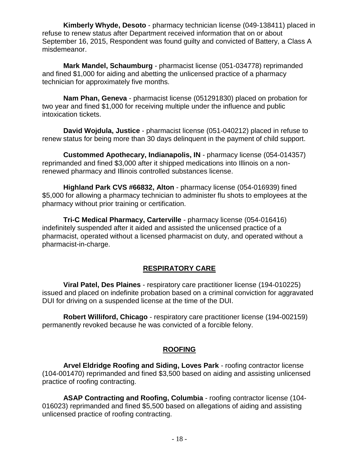**Kimberly Whyde, Desoto** - pharmacy technician license (049-138411) placed in refuse to renew status after Department received information that on or about September 16, 2015, Respondent was found guilty and convicted of Battery, a Class A misdemeanor.

**Mark Mandel, Schaumburg** - pharmacist license (051-034778) reprimanded and fined \$1,000 for aiding and abetting the unlicensed practice of a pharmacy technician for approximately five months.

**Nam Phan, Geneva** - pharmacist license (051291830) placed on probation for two year and fined \$1,000 for receiving multiple under the influence and public intoxication tickets.

**David Wojdula, Justice** - pharmacist license (051-040212) placed in refuse to renew status for being more than 30 days delinquent in the payment of child support.

**Custommed Apothecary, Indianapolis, IN** - pharmacy license (054-014357) reprimanded and fined \$3,000 after it shipped medications into Illinois on a nonrenewed pharmacy and Illinois controlled substances license.

**Highland Park CVS #66832, Alton** - pharmacy license (054-016939) fined \$5,000 for allowing a pharmacy technician to administer flu shots to employees at the pharmacy without prior training or certification.

**Tri-C Medical Pharmacy, Carterville** - pharmacy license (054-016416) indefinitely suspended after it aided and assisted the unlicensed practice of a pharmacist, operated without a licensed pharmacist on duty, and operated without a pharmacist-in-charge.

#### **RESPIRATORY CARE**

**Viral Patel, Des Plaines** - respiratory care practitioner license (194-010225) issued and placed on indefinite probation based on a criminal conviction for aggravated DUI for driving on a suspended license at the time of the DUI.

**Robert Williford, Chicago** - respiratory care practitioner license (194-002159) permanently revoked because he was convicted of a forcible felony.

#### **ROOFING**

**Arvel Eldridge Roofing and Siding, Loves Park** - roofing contractor license (104-001470) reprimanded and fined \$3,500 based on aiding and assisting unlicensed practice of roofing contracting.

**ASAP Contracting and Roofing, Columbia** - roofing contractor license (104- 016023) reprimanded and fined \$5,500 based on allegations of aiding and assisting unlicensed practice of roofing contracting.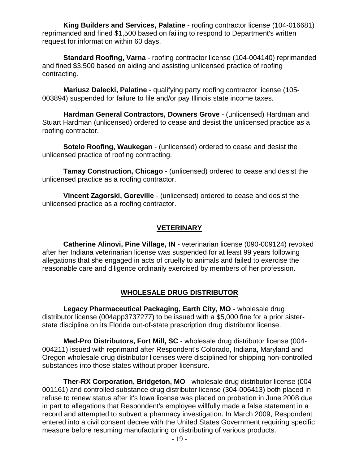**King Builders and Services, Palatine** - roofing contractor license (104-016681) reprimanded and fined \$1,500 based on failing to respond to Department's written request for information within 60 days.

**Standard Roofing, Varna** - roofing contractor license (104-004140) reprimanded and fined \$3,500 based on aiding and assisting unlicensed practice of roofing contracting.

**Mariusz Dalecki, Palatine** - qualifying party roofing contractor license (105- 003894) suspended for failure to file and/or pay Illinois state income taxes.

**Hardman General Contractors, Downers Grove** - (unlicensed) Hardman and Stuart Hardman (unlicensed) ordered to cease and desist the unlicensed practice as a roofing contractor.

**Sotelo Roofing, Waukegan** - (unlicensed) ordered to cease and desist the unlicensed practice of roofing contracting.

**Tamay Construction, Chicago** - (unlicensed) ordered to cease and desist the unlicensed practice as a roofing contractor.

**Vincent Zagorski, Goreville** - (unlicensed) ordered to cease and desist the unlicensed practice as a roofing contractor.

#### **VETERINARY**

**Catherine Alinovi, Pine Village, IN** - veterinarian license (090-009124) revoked after her Indiana veterinarian license was suspended for at least 99 years following allegations that she engaged in acts of cruelty to animals and failed to exercise the reasonable care and diligence ordinarily exercised by members of her profession.

#### **WHOLESALE DRUG DISTRIBUTOR**

**Legacy Pharmaceutical Packaging, Earth City, MO** - wholesale drug distributor license (004app3737277) to be issued with a \$5,000 fine for a prior sisterstate discipline on its Florida out-of-state prescription drug distributor license.

**Med-Pro Distributors, Fort Mill, SC** - wholesale drug distributor license (004- 004211) issued with reprimand after Respondent's Colorado, Indiana, Maryland and Oregon wholesale drug distributor licenses were disciplined for shipping non-controlled substances into those states without proper licensure.

**Ther-RX Corporation, Bridgeton, MO** - wholesale drug distributor license (004- 001161) and controlled substance drug distributor license (304-006413) both placed in refuse to renew status after it's Iowa license was placed on probation in June 2008 due in part to allegations that Respondent's employee willfully made a false statement in a record and attempted to subvert a pharmacy investigation. In March 2009, Respondent entered into a civil consent decree with the United States Government requiring specific measure before resuming manufacturing or distributing of various products.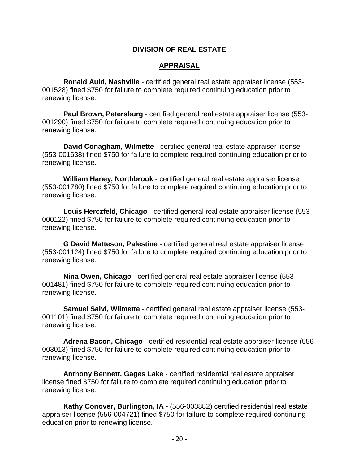#### **DIVISION OF REAL ESTATE**

#### **APPRAISAL**

**Ronald Auld, Nashville** - certified general real estate appraiser license (553- 001528) fined \$750 for failure to complete required continuing education prior to renewing license.

**Paul Brown, Petersburg** - certified general real estate appraiser license (553- 001290) fined \$750 for failure to complete required continuing education prior to renewing license.

**David Conagham, Wilmette** - certified general real estate appraiser license (553-001638) fined \$750 for failure to complete required continuing education prior to renewing license.

**William Haney, Northbrook** - certified general real estate appraiser license (553-001780) fined \$750 for failure to complete required continuing education prior to renewing license.

**Louis Herczfeld, Chicago** - certified general real estate appraiser license (553- 000122) fined \$750 for failure to complete required continuing education prior to renewing license.

**G David Matteson, Palestine** - certified general real estate appraiser license (553-001124) fined \$750 for failure to complete required continuing education prior to renewing license.

**Nina Owen, Chicago** - certified general real estate appraiser license (553- 001481) fined \$750 for failure to complete required continuing education prior to renewing license.

**Samuel Salvi, Wilmette** - certified general real estate appraiser license (553- 001101) fined \$750 for failure to complete required continuing education prior to renewing license.

**Adrena Bacon, Chicago** - certified residential real estate appraiser license (556- 003013) fined \$750 for failure to complete required continuing education prior to renewing license.

**Anthony Bennett, Gages Lake** - certified residential real estate appraiser license fined \$750 for failure to complete required continuing education prior to renewing license.

**Kathy Conover, Burlington, IA** - (556-003882) certified residential real estate appraiser license (556-004721) fined \$750 for failure to complete required continuing education prior to renewing license.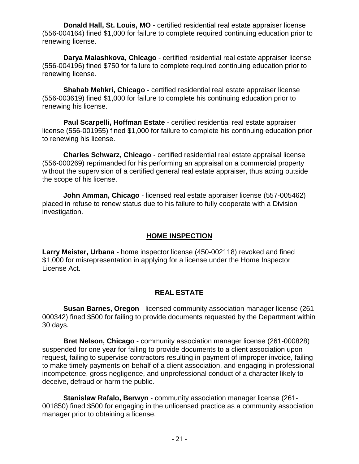**Donald Hall, St. Louis, MO** - certified residential real estate appraiser license (556-004164) fined \$1,000 for failure to complete required continuing education prior to renewing license.

**Darya Malashkova, Chicago** - certified residential real estate appraiser license (556-004196) fined \$750 for failure to complete required continuing education prior to renewing license.

**Shahab Mehkri, Chicago** - certified residential real estate appraiser license (556-003619) fined \$1,000 for failure to complete his continuing education prior to renewing his license.

**Paul Scarpelli, Hoffman Estate** - certified residential real estate appraiser license (556-001955) fined \$1,000 for failure to complete his continuing education prior to renewing his license.

**Charles Schwarz, Chicago** - certified residential real estate appraisal license (556-000269) reprimanded for his performing an appraisal on a commercial property without the supervision of a certified general real estate appraiser, thus acting outside the scope of his license.

**John Amman, Chicago** - licensed real estate appraiser license (557-005462) placed in refuse to renew status due to his failure to fully cooperate with a Division investigation.

#### **HOME INSPECTION**

**Larry Meister, Urbana** - home inspector license (450-002118) revoked and fined \$1,000 for misrepresentation in applying for a license under the Home Inspector License Act.

### **REAL ESTATE**

**Susan Barnes, Oregon** - licensed community association manager license (261- 000342) fined \$500 for failing to provide documents requested by the Department within 30 days.

**Bret Nelson, Chicago** - community association manager license (261-000828) suspended for one year for failing to provide documents to a client association upon request, failing to supervise contractors resulting in payment of improper invoice, failing to make timely payments on behalf of a client association, and engaging in professional incompetence, gross negligence, and unprofessional conduct of a character likely to deceive, defraud or harm the public.

**Stanislaw Rafalo, Berwyn** - community association manager license (261- 001850) fined \$500 for engaging in the unlicensed practice as a community association manager prior to obtaining a license.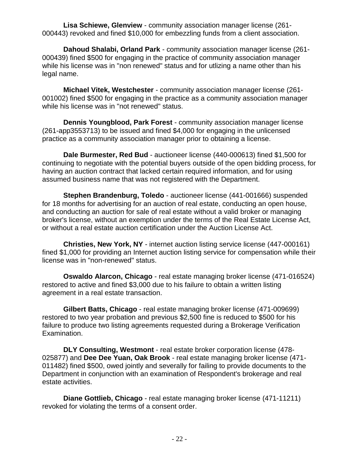**Lisa Schiewe, Glenview** - community association manager license (261- 000443) revoked and fined \$10,000 for embezzling funds from a client association.

**Dahoud Shalabi, Orland Park** - community association manager license (261- 000439) fined \$500 for engaging in the practice of community association manager while his license was in "non renewed" status and for utlizing a name other than his legal name.

**Michael Vitek, Westchester** - community association manager license (261- 001002) fined \$500 for engaging in the practice as a community association manager while his license was in "not renewed" status.

**Dennis Youngblood, Park Forest** - community association manager license (261-app3553713) to be issued and fined \$4,000 for engaging in the unlicensed practice as a community association manager prior to obtaining a license.

**Dale Burmester, Red Bud** - auctioneer license (440-000613) fined \$1,500 for continuing to negotiate with the potential buyers outside of the open bidding process, for having an auction contract that lacked certain required information, and for using assumed business name that was not registered with the Department.

**Stephen Brandenburg, Toledo** - auctioneer license (441-001666) suspended for 18 months for advertising for an auction of real estate, conducting an open house, and conducting an auction for sale of real estate without a valid broker or managing broker's license, without an exemption under the terms of the Real Estate License Act, or without a real estate auction certification under the Auction License Act.

**Christies, New York, NY** - internet auction listing service license (447-000161) fined \$1,000 for providing an Internet auction listing service for compensation while their license was in "non-renewed" status.

**Oswaldo Alarcon, Chicago** - real estate managing broker license (471-016524) restored to active and fined \$3,000 due to his failure to obtain a written listing agreement in a real estate transaction.

**Gilbert Batts, Chicago** - real estate managing broker license (471-009699) restored to two year probation and previous \$2,500 fine is reduced to \$500 for his failure to produce two listing agreements requested during a Brokerage Verification Examination.

**DLY Consulting, Westmont** - real estate broker corporation license (478- 025877) and **Dee Dee Yuan, Oak Brook** - real estate managing broker license (471- 011482) fined \$500, owed jointly and severally for failing to provide documents to the Department in conjunction with an examination of Respondent's brokerage and real estate activities.

**Diane Gottlieb, Chicago** - real estate managing broker license (471-11211) revoked for violating the terms of a consent order.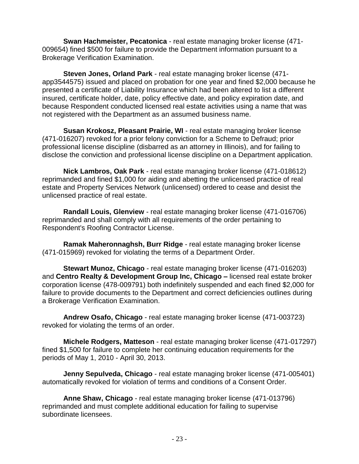**Swan Hachmeister, Pecatonica** - real estate managing broker license (471- 009654) fined \$500 for failure to provide the Department information pursuant to a Brokerage Verification Examination.

**Steven Jones, Orland Park** - real estate managing broker license (471 app3544575) issued and placed on probation for one year and fined \$2,000 because he presented a certificate of Liability Insurance which had been altered to list a different insured, certificate holder, date, policy effective date, and policy expiration date, and because Respondent conducted licensed real estate activities using a name that was not registered with the Department as an assumed business name.

**Susan Krokosz, Pleasant Prairie, WI** - real estate managing broker license (471-016207) revoked for a prior felony conviction for a Scheme to Defraud; prior professional license discipline (disbarred as an attorney in Illinois), and for failing to disclose the conviction and professional license discipline on a Department application.

**Nick Lambros, Oak Park** - real estate managing broker license (471-018612) reprimanded and fined \$1,000 for aiding and abetting the unlicensed practice of real estate and Property Services Network (unlicensed) ordered to cease and desist the unlicensed practice of real estate.

**Randall Louis, Glenview** - real estate managing broker license (471-016706) reprimanded and shall comply with all requirements of the order pertaining to Respondent's Roofing Contractor License.

**Ramak Maheronnaghsh, Burr Ridge** - real estate managing broker license (471-015969) revoked for violating the terms of a Department Order.

**Stewart Munoz, Chicago** - real estate managing broker license (471-016203) and **Centro Realty & Development Group Inc, Chicago –** licensed real estate broker corporation license (478-009791) both indefinitely suspended and each fined \$2,000 for failure to provide documents to the Department and correct deficiencies outlines during a Brokerage Verification Examination.

**Andrew Osafo, Chicago** - real estate managing broker license (471-003723) revoked for violating the terms of an order.

**Michele Rodgers, Matteson** - real estate managing broker license (471-017297) fined \$1,500 for failure to complete her continuing education requirements for the periods of May 1, 2010 - April 30, 2013.

**Jenny Sepulveda, Chicago** - real estate managing broker license (471-005401) automatically revoked for violation of terms and conditions of a Consent Order.

**Anne Shaw, Chicago** - real estate managing broker license (471-013796) reprimanded and must complete additional education for failing to supervise subordinate licensees.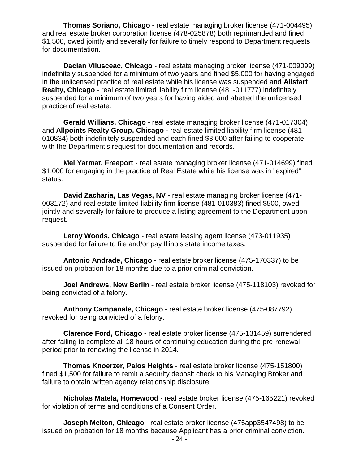**Thomas Soriano, Chicago** - real estate managing broker license (471-004495) and real estate broker corporation license (478-025878) both reprimanded and fined \$1,500, owed jointly and severally for failure to timely respond to Department requests for documentation.

**Dacian Vilusceac, Chicago** - real estate managing broker license (471-009099) indefinitely suspended for a minimum of two years and fined \$5,000 for having engaged in the unlicensed practice of real estate while his license was suspended and **Allstart Realty, Chicago** - real estate limited liability firm license (481-011777) indefinitely suspended for a minimum of two years for having aided and abetted the unlicensed practice of real estate.

**Gerald Willians, Chicago** - real estate managing broker license (471-017304) and **Allpoints Realty Group, Chicago -** real estate limited liability firm license (481- 010834) both indefinitely suspended and each fined \$3,000 after failing to cooperate with the Department's request for documentation and records.

**Mel Yarmat, Freeport** - real estate managing broker license (471-014699) fined \$1,000 for engaging in the practice of Real Estate while his license was in "expired" status.

**David Zacharia, Las Vegas, NV** - real estate managing broker license (471- 003172) and real estate limited liability firm license (481-010383) fined \$500, owed jointly and severally for failure to produce a listing agreement to the Department upon request.

**Leroy Woods, Chicago** - real estate leasing agent license (473-011935) suspended for failure to file and/or pay Illinois state income taxes.

**Antonio Andrade, Chicago** - real estate broker license (475-170337) to be issued on probation for 18 months due to a prior criminal conviction.

**Joel Andrews, New Berlin** - real estate broker license (475-118103) revoked for being convicted of a felony.

**Anthony Campanale, Chicago** - real estate broker license (475-087792) revoked for being convicted of a felony.

**Clarence Ford, Chicago** - real estate broker license (475-131459) surrendered after failing to complete all 18 hours of continuing education during the pre-renewal period prior to renewing the license in 2014.

**Thomas Knoerzer, Palos Heights** - real estate broker license (475-151800) fined \$1,500 for failure to remit a security deposit check to his Managing Broker and failure to obtain written agency relationship disclosure.

**Nicholas Matela, Homewood** - real estate broker license (475-165221) revoked for violation of terms and conditions of a Consent Order.

**Joseph Melton, Chicago** - real estate broker license (475app3547498) to be issued on probation for 18 months because Applicant has a prior criminal conviction.